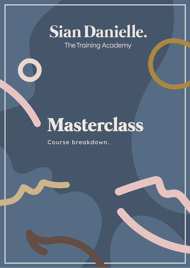## Sian Danielle.

The Training Academy

# **Masterclass**

Course breakdown.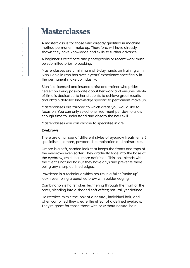SIAN DANIELLE

 $\overline{z}$ 

 $\bar{u}$  $\overline{a}$  $\overline{z}$  $\overline{a}$  $\cap$ 

### **Masterclasses**

A masterclass is for those who already qualified in machine method permanent make up. Therefore, will have already shown they have knowledge and skills to further advance.

A beginner's certificate and photographs or recent work must be submitted prior to booking.

Masterclasses are a minimum of 1-day hands on training with Sian Danielle who has over 7 years' experience specifically in the permanent make up industry.

Sian is a licensed and insured artist and trainer who prides herself on being passionate about her work and ensures plenty of time is dedicated to her students to achieve great results and obtain detailed knowledge specific to permanent make up.

Masterclasses are tailored to which areas you would like to focus on. You can only select one treatment per day to allow enough time to understand and absorb the new skill.

Masterclasses you can choose to specialise in are:

#### **Eyebrows**

There are a number of different styles of eyebrow treatments I specialise in; ombre, powdered, combination and hairstrokes.

Ombre is a soft, shaded look that keeps the fronts and tops of the eyebrows even softer. They gradually fade into the base of the eyebrow, which has more definition. This look blends with the client's natural hair (if they have any) and prevents there being any sharp outlined edges.

Powdered is a technique which results in a fuller 'make up' look, resembling a pencilled brow with bolder edging.

Combination is hairstrokes feathering through the front of the brow, blending into a shaded soft effect; natural, yet defined.

Hairstrokes mimic the look of a natural, individual hair, and when combined they create the effect of a defined eyebrow. They're great for those those with or without natural hair.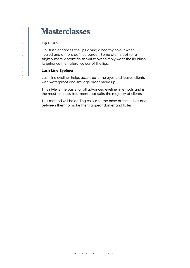### **Masterclasses**

#### **Lip Blush**

Lip Blush enhances the lips giving a healthy colour when healed and a more defined border. Some clients opt for a slightly more vibrant finish whilst over simply want the lip blush to enhance the natural colour of the lips.

### **Lash Line Eyeliner**

Lash line eyeliner helps accentuate the eyes and leaves clients with waterproof and smudge proof make up.

This style is the basis for all advanced eyeliner methods and is the most timeless treatment that suits the majority of clients.

This method will be adding colour to the base of the lashes and between them to make them appear darker and fuller.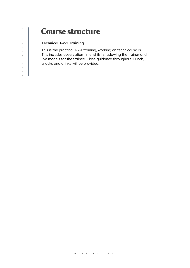### **Course structure**

### **Technical 1-2-1 Training**

This is the practical 1-2-1 training, working on technical skills. This includes observation time whilst shadowing the trainer and live models for the trainee. Close guidance throughout. Lunch, snacks and drinks will be provided.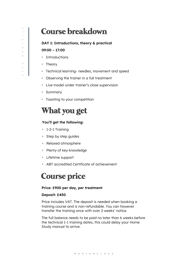### **Course breakdown**

### **DAY 1: Introductions, theory & practical**

#### **09:00 – 17:00**

- Introductions
- Theory
- Technical learning- needles, movement and speed
- Observing the trainer in a full treatment
- Live model under trainer's close supervision
- Summary
- Toasting to your competition

### **What you get**

#### **You'll get the following:**

- 1-2-1 Training
- Step by step guides
- Relaxed atmosphere
- Plenty of key knowledge
- Lifetime support
- ABT accredited Certificate of achievement

### **Course price**

#### **Price: £900 per day, per treatment**

#### **Deposit: £450**

Price includes VAT. The deposit is needed when booking a training course and is non-refundable. You can however transfer the training once with over 2 weeks' notice.

The full balance needs to be paid no later than 6 weeks before the technical 1-1 training dates, this could delay your Home Study manual to arrive.